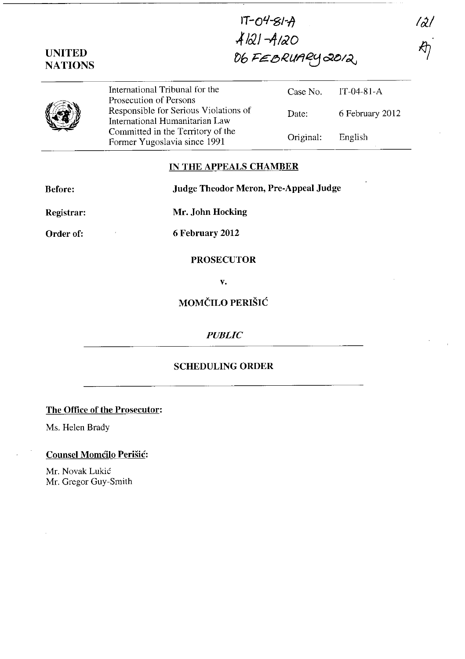**IT-o'l-g/-It .,.f /02 J -If 1&20**  06 FEBRUARY 2012,

*1r2!* 

| <b>UNITED</b>  |
|----------------|
| <b>NATIONS</b> |

|                       | International Tribunal for the<br>Prosecution of Persons                | Case No. $IT-04-81-A$ |                 |
|-----------------------|-------------------------------------------------------------------------|-----------------------|-----------------|
| <b>September 1999</b> | Responsible for Serious Violations of<br>International Humanitarian Law | Date:                 | 6 February 2012 |
|                       | Committed in the Territory of the<br>Former Yugoslavia since 1991       | Original:             | English         |

#### **IN THE APPEALS CHAMBER**

**Before: Judge Theodor Meron, Pre-Appeal Judge** 

**Registrar: Mr. John Hocking** 

**Order of: 6 February 2012** 

## **PROSECUTOR**

**v.** 

# **MOMČILO PERIŠIĆ**

#### *PUBLIC*

## **SCHEDULING ORDER**

#### **The Office of the Prosecutor:**

Ms. Helen Brady

## **Counsel Momcilo Perisic:**

Mr. Novak Lukić Mr. Gregor Guy-Smith